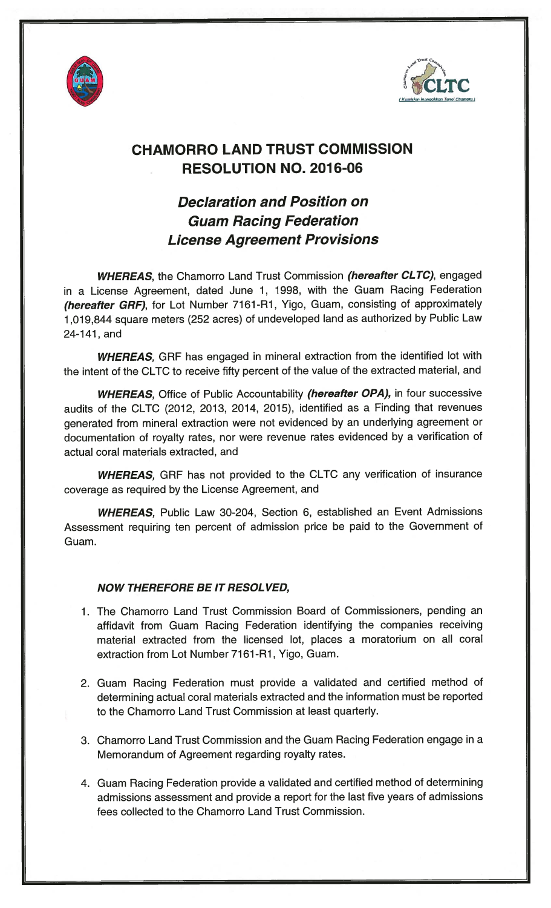



## CHAMORRO LAND TRUST COMMISSION RESOLUTION NO. 2016-06

## Declaration and Position on Guam Racing Federation License Agreement Provisions

WHEREAS, the Chamorro Land Trust Commission (hereafter CLTC), engaged in a License Agreement, dated June 1, 1998, with the Guam Racing Federation (hereafter GRF), for Lot Number 7161-R1, Yigo, Guam, consisting of approximately 1,019,844 square meters (252 acres) of undeveloped land as authorized by Public Law 24-141, and

WHEREAS, GRF has engaged in mineral extraction from the identified lot with the intent of the CLTC to receive fifty percent of the value of the extracted material, and

WHEREAS, Office of Public Accountability (hereafter OPA), in four successive audits of the CLTC (2012, 2013, 2014, 2015), identified as a Finding that revenues generated from mineral extraction were not evidenced by an underlying agreement or documentation of royalty rates, nor were revenue rates evidenced by a verification of actual coral materials extracted, and

WHEREAS, GRF has not provided to the CLTC any verification of insurance coverage as required by the License Agreement, and

WHEREAS, Public Law 30-204, Section 6, established an Event Admissions Assessment requiring ten percent of admission price be paid to the Government of Guam.

## NOW THEREFORE BE IT RESOL VED,

- 1. The Chamorro Land Trust Commission Board of Commissioners, pending an affidavit from Guam Racing Federation identifying the companies receiving material extracted from the licensed lot, places a moratorium on all coral extraction from Lot Number 7161-Ri, Yigo, Guam.
- 2. Guam Racing Eederation must provide a validated and certified method of determining actual coral materials extracted and the information must be reported to the Chamorro Land Trust Commission at least quarterly.
- 3. Chamorro Land Trust Commission and the Guam Racing Federation engage in a Memorandum of Agreement regarding royalty rates.
- 4. Guam Racing Federation provide a validated and certified method of determining admissions assessment and provide a report for the last five years of admissions fees collected to the Chamorro Land Trust Commission.